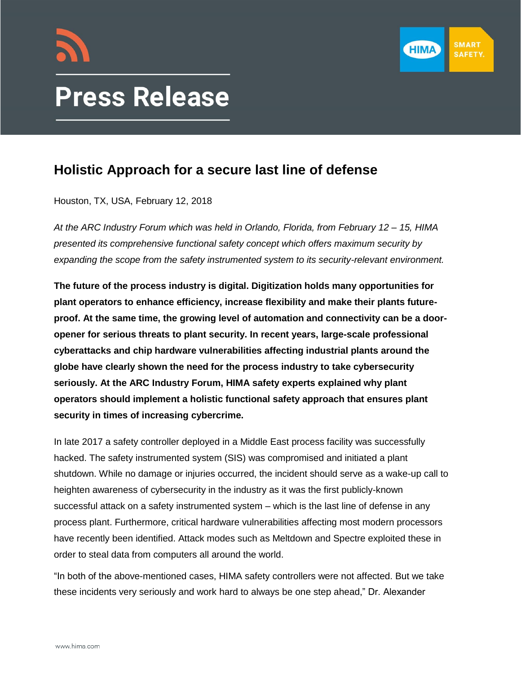



## **Press Release**

## **Holistic Approach for a secure last line of defense**

Houston, TX, USA, February 12, 2018

*At the ARC Industry Forum which was held in Orlando, Florida, from February 12 – 15, HIMA presented its comprehensive functional safety concept which offers maximum security by expanding the scope from the safety instrumented system to its security-relevant environment.* 

**The future of the process industry is digital. Digitization holds many opportunities for plant operators to enhance efficiency, increase flexibility and make their plants futureproof. At the same time, the growing level of automation and connectivity can be a dooropener for serious threats to plant security. In recent years, large-scale professional cyberattacks and chip hardware vulnerabilities affecting industrial plants around the globe have clearly shown the need for the process industry to take cybersecurity seriously. At the ARC Industry Forum, HIMA safety experts explained why plant operators should implement a holistic functional safety approach that ensures plant security in times of increasing cybercrime.**

In late 2017 a safety controller deployed in a Middle East process facility was successfully hacked. The safety instrumented system (SIS) was compromised and initiated a plant shutdown. While no damage or injuries occurred, the incident should serve as a wake-up call to heighten awareness of cybersecurity in the industry as it was the first publicly-known successful attack on a safety instrumented system – which is the last line of defense in any process plant. Furthermore, critical hardware vulnerabilities affecting most modern processors have recently been identified. Attack modes such as Meltdown and Spectre exploited these in order to steal data from computers all around the world.

"In both of the above-mentioned cases, HIMA safety controllers were not affected. But we take these incidents very seriously and work hard to always be one step ahead," Dr. Alexander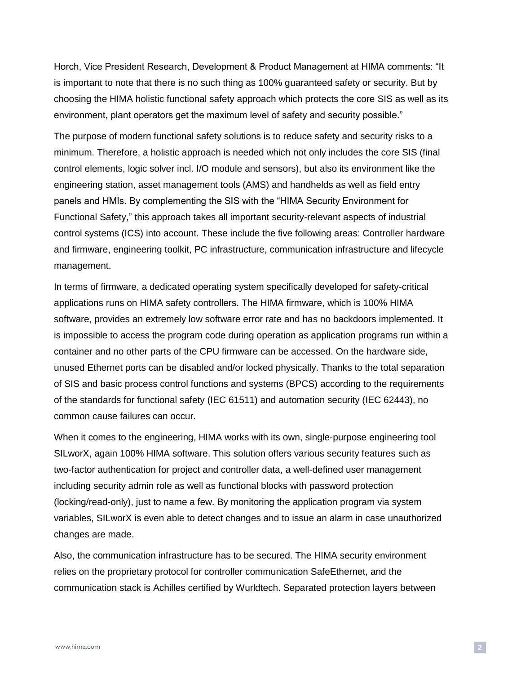Horch, Vice President Research, Development & Product Management at HIMA comments: "It is important to note that there is no such thing as 100% guaranteed safety or security. But by choosing the HIMA holistic functional safety approach which protects the core SIS as well as its environment, plant operators get the maximum level of safety and security possible."

The purpose of modern functional safety solutions is to reduce safety and security risks to a minimum. Therefore, a holistic approach is needed which not only includes the core SIS (final control elements, logic solver incl. I/O module and sensors), but also its environment like the engineering station, asset management tools (AMS) and handhelds as well as field entry panels and HMIs. By complementing the SIS with the "HIMA Security Environment for Functional Safety," this approach takes all important security-relevant aspects of industrial control systems (ICS) into account. These include the five following areas: Controller hardware and firmware, engineering toolkit, PC infrastructure, communication infrastructure and lifecycle management.

In terms of firmware, a dedicated operating system specifically developed for safety-critical applications runs on HIMA safety controllers. The HIMA firmware, which is 100% HIMA software, provides an extremely low software error rate and has no backdoors implemented. It is impossible to access the program code during operation as application programs run within a container and no other parts of the CPU firmware can be accessed. On the hardware side, unused Ethernet ports can be disabled and/or locked physically. Thanks to the total separation of SIS and basic process control functions and systems (BPCS) according to the requirements of the standards for functional safety (IEC 61511) and automation security (IEC 62443), no common cause failures can occur.

When it comes to the engineering, HIMA works with its own, single-purpose engineering tool SILworX, again 100% HIMA software. This solution offers various security features such as two-factor authentication for project and controller data, a well-defined user management including security admin role as well as functional blocks with password protection (locking/read-only), just to name a few. By monitoring the application program via system variables, SILworX is even able to detect changes and to issue an alarm in case unauthorized changes are made.

Also, the communication infrastructure has to be secured. The HIMA security environment relies on the proprietary protocol for controller communication SafeEthernet, and the communication stack is Achilles certified by Wurldtech. Separated protection layers between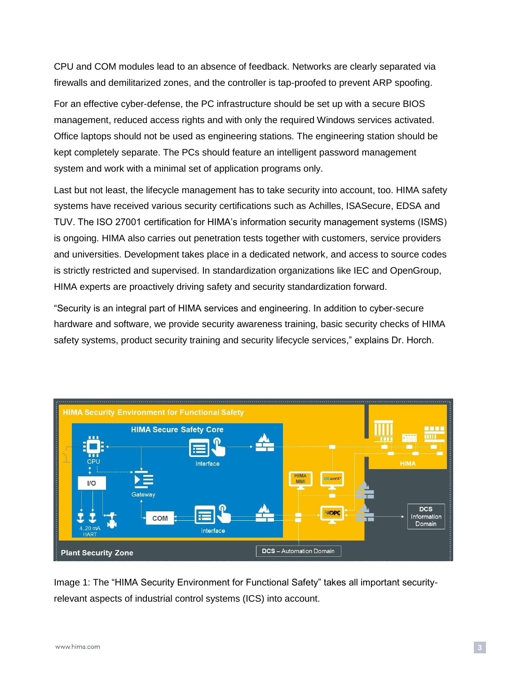CPU and COM modules lead to an absence of feedback. Networks are clearly separated via firewalls and demilitarized zones, and the controller is tap-proofed to prevent ARP spoofing.

For an effective cyber-defense, the PC infrastructure should be set up with a secure BIOS management, reduced access rights and with only the required Windows services activated. Office laptops should not be used as engineering stations. The engineering station should be kept completely separate. The PCs should feature an intelligent password management system and work with a minimal set of application programs only.

Last but not least, the lifecycle management has to take security into account, too. HIMA safety systems have received various security certifications such as Achilles, ISASecure, EDSA and TUV. The ISO 27001 certification for HIMA's information security management systems (ISMS) is ongoing. HIMA also carries out penetration tests together with customers, service providers and universities. Development takes place in a dedicated network, and access to source codes is strictly restricted and supervised. In standardization organizations like IEC and OpenGroup, HIMA experts are proactively driving safety and security standardization forward.

"Security is an integral part of HIMA services and engineering. In addition to cyber-secure hardware and software, we provide security awareness training, basic security checks of HIMA safety systems, product security training and security lifecycle services," explains Dr. Horch.



Image 1: The "HIMA Security Environment for Functional Safety" takes all important securityrelevant aspects of industrial control systems (ICS) into account.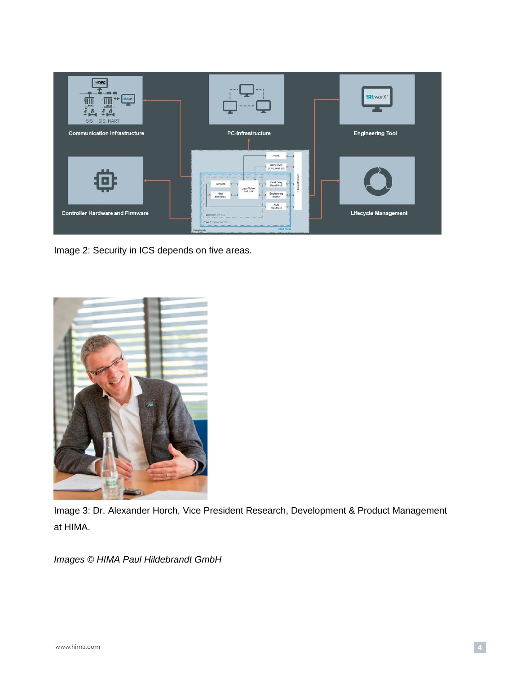

Image 2: Security in ICS depends on five areas.



Image 3: Dr. Alexander Horch, Vice President Research, Development & Product Management at HIMA.

*Images © HIMA Paul Hildebrandt GmbH*